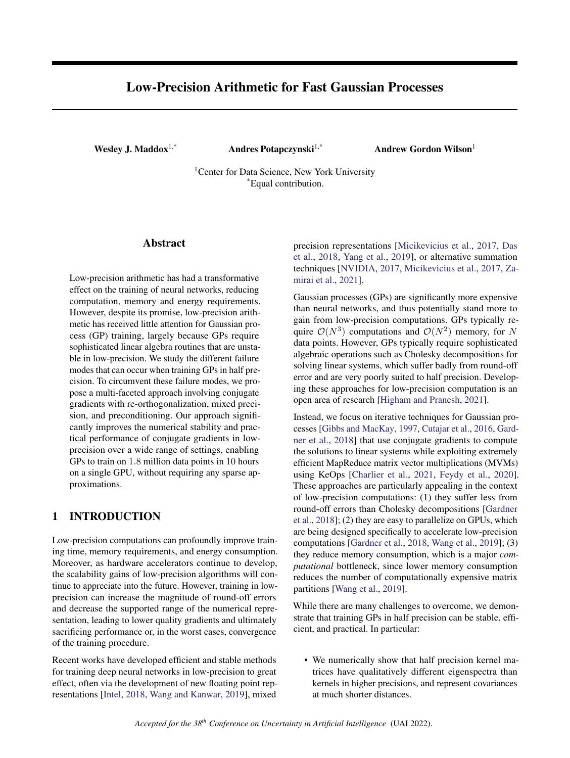# <span id="page-0-0"></span>Low-Precision Arithmetic for Fast Gaussian Processes

Wesley J. Maddox<sup>1,\*</sup> Andres Potapczynski<sup>1,\*</sup> Andrew Gordon Wilson<sup>1</sup>

<sup>1</sup>Center for Data Science, New York University \*Equal contribution.

### Abstract

Low-precision arithmetic has had a transformative effect on the training of neural networks, reducing computation, memory and energy requirements. However, despite its promise, low-precision arithmetic has received little attention for Gaussian process (GP) training, largely because GPs require sophisticated linear algebra routines that are unstable in low-precision. We study the different failure modes that can occur when training GPs in half precision. To circumvent these failure modes, we propose a multi-faceted approach involving conjugate gradients with re-orthogonalization, mixed precision, and preconditioning. Our approach significantly improves the numerical stability and practical performance of conjugate gradients in lowprecision over a wide range of settings, enabling GPs to train on 1.8 million data points in 10 hours on a single GPU, without requiring any sparse approximations.

# 1 INTRODUCTION

Low-precision computations can profoundly improve training time, memory requirements, and energy consumption. Moreover, as hardware accelerators continue to develop, the scalability gains of low-precision algorithms will continue to appreciate into the future. However, training in lowprecision can increase the magnitude of round-off errors and decrease the supported range of the numerical representation, leading to lower quality gradients and ultimately sacrificing performance or, in the worst cases, convergence of the training procedure.

Recent works have developed efficient and stable methods for training deep neural networks in low-precision to great effect, often via the development of new floating point representations [\[Intel,](#page-9-0) [2018,](#page-9-0) [Wang and Kanwar,](#page-10-0) [2019\]](#page-10-0), mixed

precision representations [\[Micikevicius et al.,](#page-9-1) [2017,](#page-9-1) [Das](#page-8-0) [et al.,](#page-8-0) [2018,](#page-8-0) [Yang et al.,](#page-10-1) [2019\]](#page-10-1), or alternative summation techniques [\[NVIDIA,](#page-9-2) [2017,](#page-9-2) [Micikevicius et al.,](#page-9-1) [2017,](#page-9-1) [Za](#page-10-2)[mirai et al.,](#page-10-2) [2021\]](#page-10-2).

Gaussian processes (GPs) are significantly more expensive than neural networks, and thus potentially stand more to gain from low-precision computations. GPs typically require  $\mathcal{O}(N^3)$  computations and  $\mathcal{O}(N^2)$  memory, for N data points. However, GPs typically require sophisticated algebraic operations such as Cholesky decompositions for solving linear systems, which suffer badly from round-off error and are very poorly suited to half precision. Developing these approaches for low-precision computation is an open area of research [\[Higham and Pranesh,](#page-9-3) [2021\]](#page-9-3).

Instead, we focus on iterative techniques for Gaussian processes [\[Gibbs and MacKay,](#page-9-4) [1997,](#page-9-4) [Cutajar et al.,](#page-8-1) [2016,](#page-8-1) [Gard](#page-9-5)[ner et al.,](#page-9-5) [2018\]](#page-9-5) that use conjugate gradients to compute the solutions to linear systems while exploiting extremely efficient MapReduce matrix vector multiplications (MVMs) using KeOps [\[Charlier et al.,](#page-8-2) [2021,](#page-8-2) [Feydy et al.,](#page-8-3) [2020\]](#page-8-3). These approaches are particularly appealing in the context of low-precision computations: (1) they suffer less from round-off errors than Cholesky decompositions [\[Gardner](#page-9-5) [et al.,](#page-9-5) [2018\]](#page-9-5); (2) they are easy to parallelize on GPUs, which are being designed specifically to accelerate low-precision computations [\[Gardner et al.,](#page-9-5) [2018,](#page-9-5) [Wang et al.,](#page-9-6) [2019\]](#page-9-6); (3) they reduce memory consumption, which is a major *computational* bottleneck, since lower memory consumption reduces the number of computationally expensive matrix partitions [\[Wang et al.,](#page-9-6) [2019\]](#page-9-6).

While there are many challenges to overcome, we demonstrate that training GPs in half precision can be stable, efficient, and practical. In particular:

• We numerically show that half precision kernel matrices have qualitatively different eigenspectra than kernels in higher precisions, and represent covariances at much shorter distances.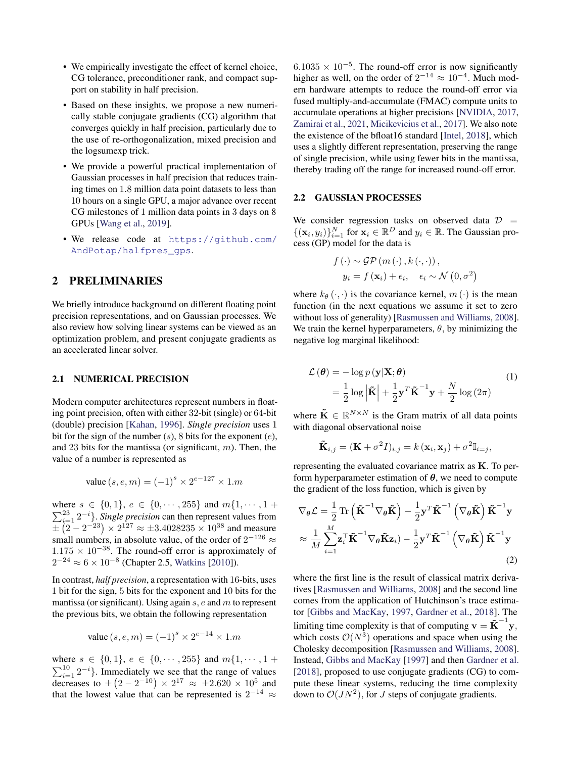- We empirically investigate the effect of kernel choice, CG tolerance, preconditioner rank, and compact support on stability in half precision.
- Based on these insights, we propose a new numerically stable conjugate gradients (CG) algorithm that converges quickly in half precision, particularly due to the use of re-orthogonalization, mixed precision and the logsumexp trick.
- We provide a powerful practical implementation of Gaussian processes in half precision that reduces training times on 1.8 million data point datasets to less than 10 hours on a single GPU, a major advance over recent CG milestones of 1 million data points in 3 days on 8 GPUs [\[Wang et al.,](#page-9-6) [2019\]](#page-9-6).
- We release code at [https://github.com/](https://github.com/AndPotap/halfpres_gps) [AndPotap/halfpres\\_gps](https://github.com/AndPotap/halfpres_gps).

### 2 PRELIMINARIES

We briefly introduce background on different floating point precision representations, and on Gaussian processes. We also review how solving linear systems can be viewed as an optimization problem, and present conjugate gradients as an accelerated linear solver.

#### 2.1 NUMERICAL PRECISION

Modern computer architectures represent numbers in floating point precision, often with either 32-bit (single) or 64-bit (double) precision [\[Kahan,](#page-9-7) [1996\]](#page-9-7). *Single precision* uses 1 bit for the sign of the number  $(s)$ , 8 bits for the exponent  $(e)$ , and 23 bits for the mantissa (or significant,  $m$ ). Then, the value of a number is represented as

value 
$$
(s, e, m) = (-1)^s \times 2^{e-127} \times 1.m
$$

where  $s \in \{0,1\}$ ,  $e \in \{0, \dots, 255\}$  and  $m\{1, \dots, 1 +$  $\sum_{i=1}^{23} 2^{-i}$ . *Single precision* can then represent values from  $\overline{\pm (2 - 2^{-23})} \times 2^{127} \approx \pm 3.4028235 \times 10^{38}$  and measure small numbers, in absolute value, of the order of  $2^{-126} \approx$  $1.175 \times 10^{-38}$ . The round-off error is approximately of  $2^{-24} \approx 6 \times 10^{-8}$  (Chapter 2.5, [Watkins](#page-10-3) [\[2010\]](#page-10-3)).

In contrast, *half precision*, a representation with 16-bits, uses 1 bit for the sign, 5 bits for the exponent and 10 bits for the mantissa (or significant). Using again  $s$ ,  $e$  and  $m$  to represent the previous bits, we obtain the following representation

value 
$$
(s, e, m) = (-1)^s \times 2^{e-14} \times 1.m
$$

where  $s \in \{0,1\}$ ,  $e \in \{0, \dots, 255\}$  and  $m\{1, \dots, 1 +$  $\sum_{i=1}^{10} 2^{-i}$ . Immediately we see that the range of values decreases to  $\pm (2 - 2^{-10}) \times 2^{17} \approx \pm 2.620 \times 10^5$  and that the lowest value that can be represented is  $2^{-14} \approx$ 

 $6.1035 \times 10^{-5}$ . The round-off error is now significantly higher as well, on the order of  $2^{-14} \approx 10^{-4}$ . Much modern hardware attempts to reduce the round-off error via fused multiply-and-accumulate (FMAC) compute units to accumulate operations at higher precisions [\[NVIDIA,](#page-9-2) [2017,](#page-9-2) [Zamirai et al.,](#page-10-2) [2021,](#page-10-2) [Micikevicius et al.,](#page-9-1) [2017\]](#page-9-1). We also note the existence of the bfloat16 standard [\[Intel,](#page-9-0) [2018\]](#page-9-0), which uses a slightly different representation, preserving the range of single precision, while using fewer bits in the mantissa, thereby trading off the range for increased round-off error.

#### 2.2 GAUSSIAN PROCESSES

We consider regression tasks on observed data  $D =$  $\{(\mathbf{x}_i, y_i)\}_{i=1}^N$  for  $\mathbf{x}_i \in \mathbb{R}^D$  and  $y_i \in \mathbb{R}$ . The Gaussian process (GP) model for the data is

<span id="page-1-0"></span>
$$
f(\cdot) \sim \mathcal{GP}(m(\cdot), k(\cdot, \cdot)),
$$
  

$$
y_i = f(\mathbf{x}_i) + \epsilon_i, \quad \epsilon_i \sim \mathcal{N}(0, \sigma^2)
$$

where  $k_{\theta}(\cdot, \cdot)$  is the covariance kernel,  $m(\cdot)$  is the mean function (in the next equations we assume it set to zero without loss of generality) [\[Rasmussen and Williams,](#page-9-8) [2008\]](#page-9-8). We train the kernel hyperparameters,  $\theta$ , by minimizing the negative log marginal likelihood:

$$
\mathcal{L}(\theta) = -\log p(\mathbf{y}|\mathbf{X}; \theta)
$$
  
=  $\frac{1}{2}\log |\tilde{\mathbf{K}}| + \frac{1}{2}\mathbf{y}^T\tilde{\mathbf{K}}^{-1}\mathbf{y} + \frac{N}{2}\log(2\pi)$  (1)

where  $\tilde{\mathbf{K}} \in \mathbb{R}^{N \times N}$  is the Gram matrix of all data points with diagonal observational noise

<span id="page-1-1"></span>
$$
\tilde{\mathbf{K}}_{i,j} = (\mathbf{K} + \sigma^2 I)_{i,j} = k(\mathbf{x}_i, \mathbf{x}_j) + \sigma^2 \mathbb{I}_{i=j},
$$

representing the evaluated covariance matrix as K. To perform hyperparameter estimation of  $\theta$ , we need to compute the gradient of the loss function, which is given by

$$
\nabla_{\theta} \mathcal{L} = \frac{1}{2} \text{Tr} \left( \tilde{\mathbf{K}}^{-1} \nabla_{\theta} \tilde{\mathbf{K}} \right) - \frac{1}{2} \mathbf{y}^T \tilde{\mathbf{K}}^{-1} \left( \nabla_{\theta} \tilde{\mathbf{K}} \right) \tilde{\mathbf{K}}^{-1} \mathbf{y}
$$

$$
\approx \frac{1}{M} \sum_{i=1}^{M} \mathbf{z}_i^{\top} \tilde{\mathbf{K}}^{-1} \nabla_{\theta} \tilde{\mathbf{K}} \mathbf{z}_i) - \frac{1}{2} \mathbf{y}^T \tilde{\mathbf{K}}^{-1} \left( \nabla_{\theta} \tilde{\mathbf{K}} \right) \tilde{\mathbf{K}}^{-1} \mathbf{y}
$$
(2)

where the first line is the result of classical matrix derivatives [\[Rasmussen and Williams,](#page-9-8) [2008\]](#page-9-8) and the second line comes from the application of Hutchinson's trace estimator [\[Gibbs and MacKay,](#page-9-4) [1997,](#page-9-4) [Gardner et al.,](#page-9-5) [2018\]](#page-9-5). The limiting time complexity is that of computing  $\mathbf{v} = \tilde{\mathbf{K}}^{-1} \mathbf{y}$ , which costs  $\mathcal{O}(N^3)$  operations and space when using the Cholesky decomposition [\[Rasmussen and Williams,](#page-9-8) [2008\]](#page-9-8). Instead, [Gibbs and MacKay](#page-9-4) [\[1997\]](#page-9-4) and then [Gardner et al.](#page-9-5) [\[2018\]](#page-9-5), proposed to use conjugate gradients (CG) to compute these linear systems, reducing the time complexity down to  $\mathcal{O}(J N^2)$ , for J steps of conjugate gradients.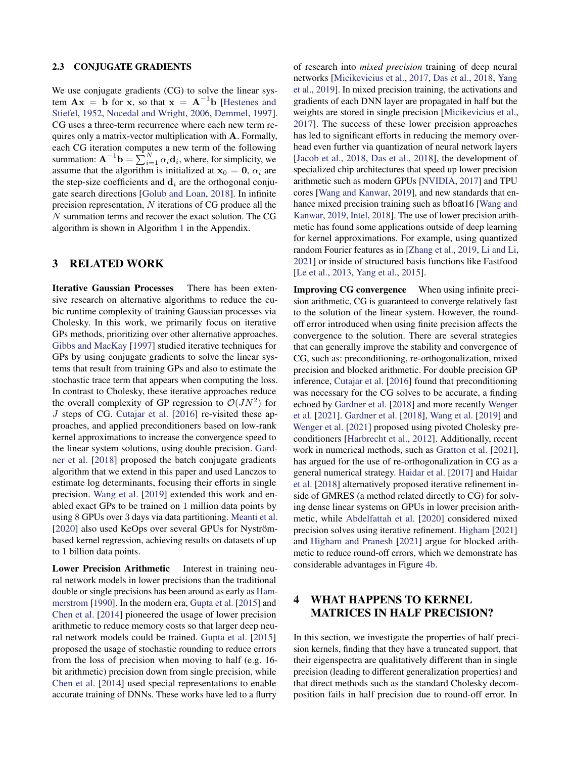#### 2.3 CONJUGATE GRADIENTS

We use conjugate gradients (CG) to solve the linear system  $\mathbf{A}\mathbf{x} = \mathbf{b}$  for x, so that  $\mathbf{x} = \mathbf{A}^{-1}\mathbf{b}$  [\[Hestenes and](#page-9-9) [Stiefel,](#page-9-9) [1952,](#page-9-9) [Nocedal and Wright,](#page-9-10) [2006,](#page-9-10) [Demmel,](#page-8-4) [1997\]](#page-8-4). CG uses a three-term recurrence where each new term requires only a matrix-vector multiplication with A. Formally, each CG iteration computes a new term of the following summation:  $\mathbf{A}^{-1}\mathbf{b} = \sum_{i=1}^{N} \alpha_i \mathbf{d}_i$ , where, for simplicity, we assume that the algorithm is initialized at  $x_0 = 0$ ,  $\alpha_i$  are the step-size coefficients and  $\mathbf{d}_i$  are the orthogonal conjugate search directions [\[Golub and Loan,](#page-9-11) [2018\]](#page-9-11). In infinite precision representation, N iterations of CG produce all the N summation terms and recover the exact solution. The CG algorithm is shown in Algorithm [1](#page-5-0) in the Appendix.

### 3 RELATED WORK

Iterative Gaussian Processes There has been extensive research on alternative algorithms to reduce the cubic runtime complexity of training Gaussian processes via Cholesky. In this work, we primarily focus on iterative GPs methods, prioritizing over other alternative approaches. [Gibbs and MacKay](#page-9-4) [\[1997\]](#page-9-4) studied iterative techniques for GPs by using conjugate gradients to solve the linear systems that result from training GPs and also to estimate the stochastic trace term that appears when computing the loss. In contrast to Cholesky, these iterative approaches reduce the overall complexity of GP regression to  $\mathcal{O}(JN^2)$  for J steps of CG. [Cutajar et al.](#page-8-1) [\[2016\]](#page-8-1) re-visited these approaches, and applied preconditioners based on low-rank kernel approximations to increase the convergence speed to the linear system solutions, using double precision. [Gard](#page-9-5)[ner et al.](#page-9-5) [\[2018\]](#page-9-5) proposed the batch conjugate gradients algorithm that we extend in this paper and used Lanczos to estimate log determinants, focusing their efforts in single precision. [Wang et al.](#page-9-6) [\[2019\]](#page-9-6) extended this work and enabled exact GPs to be trained on 1 million data points by using 8 GPUs over 3 days via data partitioning. [Meanti et al.](#page-9-12) [\[2020\]](#page-9-12) also used KeOps over several GPUs for Nyströmbased kernel regression, achieving results on datasets of up to 1 billion data points.

Lower Precision Arithmetic Interest in training neural network models in lower precisions than the traditional double or single precisions has been around as early as [Ham](#page-9-13)[merstrom](#page-9-13) [\[1990\]](#page-9-13). In the modern era, [Gupta et al.](#page-9-14) [\[2015\]](#page-9-14) and [Chen et al.](#page-8-5) [\[2014\]](#page-8-5) pioneered the usage of lower precision arithmetic to reduce memory costs so that larger deep neural network models could be trained. [Gupta et al.](#page-9-14) [\[2015\]](#page-9-14) proposed the usage of stochastic rounding to reduce errors from the loss of precision when moving to half (e.g. 16 bit arithmetic) precision down from single precision, while [Chen et al.](#page-8-5) [\[2014\]](#page-8-5) used special representations to enable accurate training of DNNs. These works have led to a flurry

of research into *mixed precision* training of deep neural networks [\[Micikevicius et al.,](#page-9-1) [2017,](#page-9-1) [Das et al.,](#page-8-0) [2018,](#page-8-0) [Yang](#page-10-1) [et al.,](#page-10-1) [2019\]](#page-10-1). In mixed precision training, the activations and gradients of each DNN layer are propagated in half but the weights are stored in single precision [\[Micikevicius et al.,](#page-9-1) [2017\]](#page-9-1). The success of these lower precision approaches has led to significant efforts in reducing the memory overhead even further via quantization of neural network layers [\[Jacob et al.,](#page-9-15) [2018,](#page-9-15) [Das et al.,](#page-8-0) [2018\]](#page-8-0), the development of specialized chip architectures that speed up lower precision arithmetic such as modern GPUs [\[NVIDIA,](#page-9-2) [2017\]](#page-9-2) and TPU cores [\[Wang and Kanwar,](#page-10-0) [2019\]](#page-10-0), and new standards that en-hance mixed precision training such as bfloat16 [\[Wang and](#page-10-0) [Kanwar,](#page-10-0) [2019,](#page-10-0) [Intel,](#page-9-0) [2018\]](#page-9-0). The use of lower precision arithmetic has found some applications outside of deep learning for kernel approximations. For example, using quantized random Fourier features as in [\[Zhang et al.,](#page-10-4) [2019,](#page-10-4) [Li and Li,](#page-9-16) [2021\]](#page-9-16) or inside of structured basis functions like Fastfood [\[Le et al.,](#page-9-17) [2013,](#page-9-17) [Yang et al.,](#page-10-5) [2015\]](#page-10-5).

Improving CG convergence When using infinite precision arithmetic, CG is guaranteed to converge relatively fast to the solution of the linear system. However, the roundoff error introduced when using finite precision affects the convergence to the solution. There are several strategies that can generally improve the stability and convergence of CG, such as: preconditioning, re-orthogonalization, mixed precision and blocked arithmetic. For double precision GP inference, [Cutajar et al.](#page-8-1) [\[2016\]](#page-8-1) found that preconditioning was necessary for the CG solves to be accurate, a finding echoed by [Gardner et al.](#page-9-5) [\[2018\]](#page-9-5) and more recently [Wenger](#page-10-6) [et al.](#page-10-6) [\[2021\]](#page-10-6). [Gardner et al.](#page-9-5) [\[2018\]](#page-9-5), [Wang et al.](#page-9-6) [\[2019\]](#page-9-6) and [Wenger et al.](#page-10-6) [\[2021\]](#page-10-6) proposed using pivoted Cholesky preconditioners [\[Harbrecht et al.,](#page-9-18) [2012\]](#page-9-18). Additionally, recent work in numerical methods, such as [Gratton et al.](#page-9-19) [\[2021\]](#page-9-19), has argued for the use of re-orthogonalization in CG as a general numerical strategy. [Haidar et al.](#page-9-20) [\[2017\]](#page-9-20) and [Haidar](#page-9-21) [et al.](#page-9-21) [\[2018\]](#page-9-21) alternatively proposed iterative refinement inside of GMRES (a method related directly to CG) for solving dense linear systems on GPUs in lower precision arithmetic, while [Abdelfattah et al.](#page-8-6) [\[2020\]](#page-8-6) considered mixed precision solves using iterative refinement. [Higham](#page-9-22) [\[2021\]](#page-9-22) and [Higham and Pranesh](#page-9-3) [\[2021\]](#page-9-3) argue for blocked arithmetic to reduce round-off errors, which we demonstrate has considerable advantages in Figure [4b.](#page-5-1)

# 4 WHAT HAPPENS TO KERNEL MATRICES IN HALF PRECISION?

In this section, we investigate the properties of half precision kernels, finding that they have a truncated support, that their eigenspectra are qualitatively different than in single precision (leading to different generalization properties) and that direct methods such as the standard Cholesky decomposition fails in half precision due to round-off error. In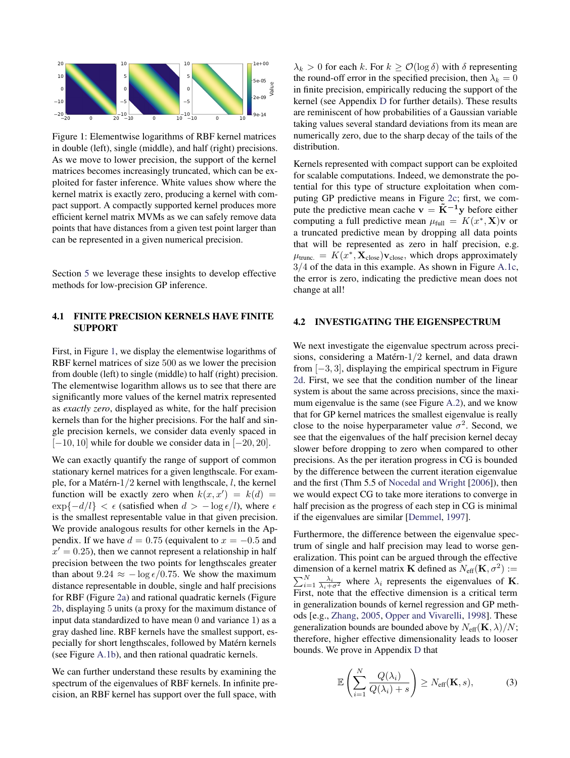<span id="page-3-0"></span>

Figure 1: Elementwise logarithms of RBF kernel matrices in double (left), single (middle), and half (right) precisions. As we move to lower precision, the support of the kernel matrices becomes increasingly truncated, which can be exploited for faster inference. White values show where the kernel matrix is exactly zero, producing a kernel with compact support. A compactly supported kernel produces more efficient kernel matrix MVMs as we can safely remove data points that have distances from a given test point larger than can be represented in a given numerical precision.

Section [5](#page-4-0) we leverage these insights to develop effective methods for low-precision GP inference.

### 4.1 FINITE PRECISION KERNELS HAVE FINITE SUPPORT

First, in Figure [1,](#page-3-0) we display the elementwise logarithms of RBF kernel matrices of size 500 as we lower the precision from double (left) to single (middle) to half (right) precision. The elementwise logarithm allows us to see that there are significantly more values of the kernel matrix represented as *exactly zero*, displayed as white, for the half precision kernels than for the higher precisions. For the half and single precision kernels, we consider data evenly spaced in  $[-10, 10]$  while for double we consider data in  $[-20, 20]$ .

We can exactly quantify the range of support of common stationary kernel matrices for a given lengthscale. For example, for a Matérn-1/2 kernel with lengthscale, l, the kernel function will be exactly zero when  $k(x, x') = k(d) =$  $\exp\{-d/l\} < \epsilon$  (satisfied when  $d > -\log \epsilon/l$ ), where  $\epsilon$ is the smallest representable value in that given precision. We provide analogous results for other kernels in the Appendix. If we have  $d = 0.75$  (equivalent to  $x = -0.5$  and  $x' = 0.25$ , then we cannot represent a relationship in half precision between the two points for lengthscales greater than about  $9.24 \approx -\log \epsilon / 0.75$ . We show the maximum distance representable in double, single and half precisions for RBF (Figure [2a\)](#page-4-1) and rational quadratic kernels (Figure [2b,](#page-4-1) displaying 5 units (a proxy for the maximum distance of input data standardized to have mean 0 and variance 1) as a gray dashed line. RBF kernels have the smallest support, especially for short lengthscales, followed by Matérn kernels (see Figure [A.1b\)](#page-5-1), and then rational quadratic kernels.

We can further understand these results by examining the spectrum of the eigenvalues of RBF kernels. In infinite precision, an RBF kernel has support over the full space, with

 $\lambda_k > 0$  for each k. For  $k \geq \mathcal{O}(\log \delta)$  with  $\delta$  representing the round-off error in the specified precision, then  $\lambda_k = 0$ in finite precision, empirically reducing the support of the kernel (see Appendix [D](#page-0-0) for further details). These results are reminiscent of how probabilities of a Gaussian variable taking values several standard deviations from its mean are numerically zero, due to the sharp decay of the tails of the distribution.

Kernels represented with compact support can be exploited for scalable computations. Indeed, we demonstrate the potential for this type of structure exploitation when computing GP predictive means in Figure [2c;](#page-4-1) first, we compute the predictive mean cache  $v = \tilde{K}^{-1}y$  before either computing a full predictive mean  $\mu_{\text{full}} = K(x^*, \mathbf{X})\mathbf{v}$  or a truncated predictive mean by dropping all data points that will be represented as zero in half precision, e.g.  $\mu_{\text{trunc.}} = K(x^*, \mathbf{X}_{\text{close}}) \mathbf{v}_{\text{close}}$ , which drops approximately 3/4 of the data in this example. As shown in Figure [A.1c,](#page-5-1) the error is zero, indicating the predictive mean does not change at all!

### <span id="page-3-2"></span>4.2 INVESTIGATING THE EIGENSPECTRUM

We next investigate the eigenvalue spectrum across precisions, considering a Matérn-1/2 kernel, and data drawn from  $[-3, 3]$ , displaying the empirical spectrum in Figure [2d.](#page-4-1) First, we see that the condition number of the linear system is about the same across precisions, since the maximum eigenvalue is the same (see Figure [A.2\)](#page-0-0), and we know that for GP kernel matrices the smallest eigenvalue is really close to the noise hyperparameter value  $\sigma^2$ . Second, we see that the eigenvalues of the half precision kernel decay slower before dropping to zero when compared to other precisions. As the per iteration progress in CG is bounded by the difference between the current iteration eigenvalue and the first (Thm 5.5 of [Nocedal and Wright](#page-9-10) [\[2006\]](#page-9-10)), then we would expect CG to take more iterations to converge in half precision as the progress of each step in CG is minimal if the eigenvalues are similar [\[Demmel,](#page-8-4) [1997\]](#page-8-4).

Furthermore, the difference between the eigenvalue spectrum of single and half precision may lead to worse generalization. This point can be argued through the effective dimension of a kernel matrix **K** defined as  $N_{\text{eff}}(\mathbf{K}, \sigma^2)$  :=  $\sum_{i=1}^{N} \frac{\lambda_i}{\lambda_i + \sigma^2}$  where  $\lambda_i$  represents the eigenvalues of **K**. First, note that the effective dimension is a critical term in generalization bounds of kernel regression and GP methods [e.g., [Zhang,](#page-10-7) [2005,](#page-10-7) [Opper and Vivarelli,](#page-9-23) [1998\]](#page-9-23). These generalization bounds are bounded above by  $N_{\text{eff}}(\mathbf{K}, \lambda)/N$ ; therefore, higher effective dimensionality leads to looser bounds. We prove in Appendix [D](#page-0-0) that

<span id="page-3-1"></span>
$$
\mathbb{E}\left(\sum_{i=1}^{N}\frac{Q(\lambda_i)}{Q(\lambda_i)+s}\right)\geq N_{\text{eff}}(\mathbf{K},s),\tag{3}
$$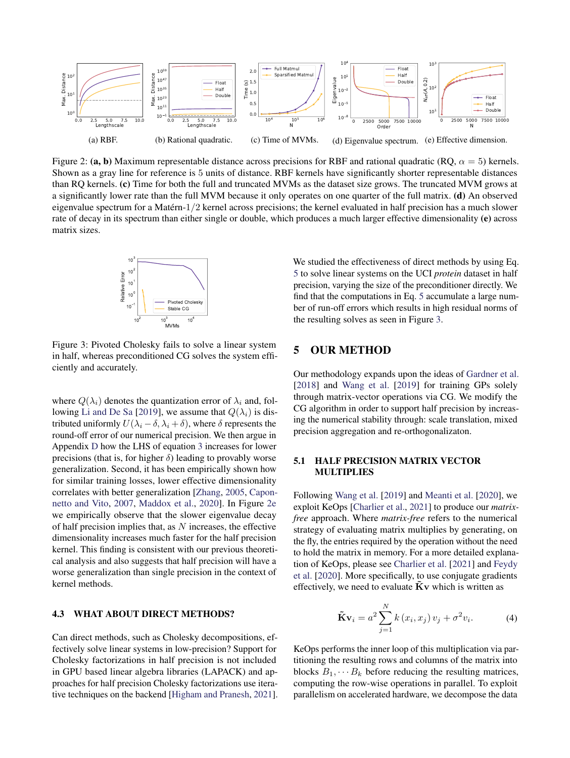<span id="page-4-1"></span>

Figure 2: (a, b) Maximum representable distance across precisions for RBF and rational quadratic (RO,  $\alpha = 5$ ) kernels. Shown as a gray line for reference is 5 units of distance. RBF kernels have significantly shorter representable distances than RQ kernels. (c) Time for both the full and truncated MVMs as the dataset size grows. The truncated MVM grows at a significantly lower rate than the full MVM because it only operates on one quarter of the full matrix. (d) An observed eigenvalue spectrum for a Matérn-1/2 kernel across precisions; the kernel evaluated in half precision has a much slower rate of decay in its spectrum than either single or double, which produces a much larger effective dimensionality (e) across matrix sizes.

<span id="page-4-2"></span>

Figure 3: Pivoted Cholesky fails to solve a linear system in half, whereas preconditioned CG solves the system efficiently and accurately.

where  $Q(\lambda_i)$  denotes the quantization error of  $\lambda_i$  and, fol-lowing [Li and De Sa](#page-9-24) [\[2019\]](#page-9-24), we assume that  $Q(\lambda_i)$  is distributed uniformly  $U(\lambda_i - \delta, \lambda_i + \delta)$ , where  $\delta$  represents the round-off error of our numerical precision. We then argue in Appendix [D](#page-0-0) how the LHS of equation [3](#page-3-1) increases for lower precisions (that is, for higher  $\delta$ ) leading to provably worse generalization. Second, it has been empirically shown how for similar training losses, lower effective dimensionality correlates with better generalization [\[Zhang,](#page-10-7) [2005,](#page-10-7) [Capon](#page-8-7)[netto and Vito,](#page-8-7) [2007,](#page-8-7) [Maddox et al.,](#page-9-25) [2020\]](#page-9-25). In Figure [2e](#page-4-1) we empirically observe that the slower eigenvalue decay of half precision implies that, as  $N$  increases, the effective dimensionality increases much faster for the half precision kernel. This finding is consistent with our previous theoretical analysis and also suggests that half precision will have a worse generalization than single precision in the context of kernel methods.

#### 4.3 WHAT ABOUT DIRECT METHODS?

Can direct methods, such as Cholesky decompositions, effectively solve linear systems in low-precision? Support for Cholesky factorizations in half precision is not included in GPU based linear algebra libraries (LAPACK) and approaches for half precision Cholesky factorizations use iterative techniques on the backend [\[Higham and Pranesh,](#page-9-3) [2021\]](#page-9-3). We studied the effectiveness of direct methods by using Eq. [5](#page-6-0) to solve linear systems on the UCI *protein* dataset in half precision, varying the size of the preconditioner directly. We find that the computations in Eq. [5](#page-6-0) accumulate a large number of run-off errors which results in high residual norms of the resulting solves as seen in Figure [3.](#page-4-2)

# <span id="page-4-0"></span>5 OUR METHOD

Our methodology expands upon the ideas of [Gardner et al.](#page-9-5) [\[2018\]](#page-9-5) and [Wang et al.](#page-9-6) [\[2019\]](#page-9-6) for training GPs solely through matrix-vector operations via CG. We modify the CG algorithm in order to support half precision by increasing the numerical stability through: scale translation, mixed precision aggregation and re-orthogonalizaton.

#### 5.1 HALF PRECISION MATRIX VECTOR MULTIPLIES

Following [Wang et al.](#page-9-6) [\[2019\]](#page-9-6) and [Meanti et al.](#page-9-12) [\[2020\]](#page-9-12), we exploit KeOps [\[Charlier et al.,](#page-8-2) [2021\]](#page-8-2) to produce our *matrixfree* approach. Where *matrix-free* refers to the numerical strategy of evaluating matrix multiplies by generating, on the fly, the entries required by the operation without the need to hold the matrix in memory. For a more detailed explanation of KeOps, please see [Charlier et al.](#page-8-2) [\[2021\]](#page-8-2) and [Feydy](#page-8-3) [et al.](#page-8-3) [\[2020\]](#page-8-3). More specifically, to use conjugate gradients effectively, we need to evaluate  $\overline{\mathbf{K}}\mathbf{v}$  which is written as

$$
\tilde{\mathbf{K}}\mathbf{v}_{i} = a^{2} \sum_{j=1}^{N} k(x_{i}, x_{j}) v_{j} + \sigma^{2} v_{i}.
$$
 (4)

KeOps performs the inner loop of this multiplication via partitioning the resulting rows and columns of the matrix into blocks  $B_1, \dots, B_k$  before reducing the resulting matrices, computing the row-wise operations in parallel. To exploit parallelism on accelerated hardware, we decompose the data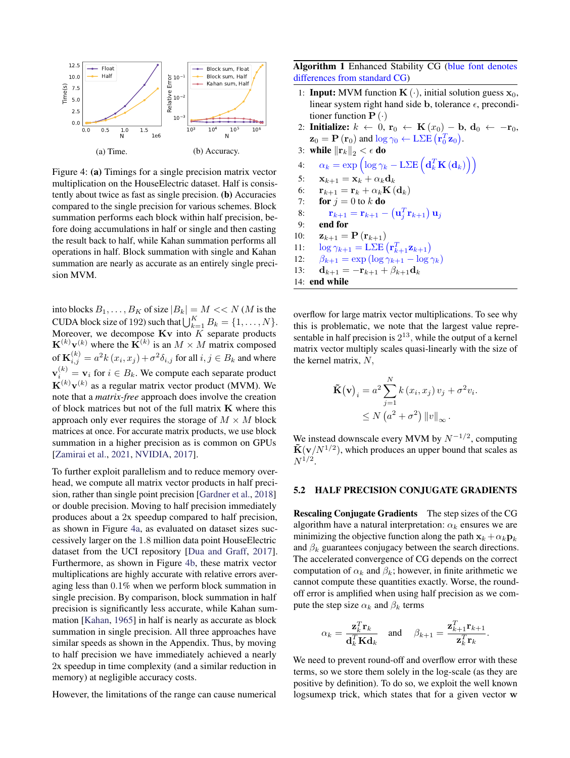<span id="page-5-1"></span>

Figure 4: (a) Timings for a single precision matrix vector multiplication on the HouseElectric dataset. Half is consistently about twice as fast as single precision. (b) Accuracies compared to the single precision for various schemes. Block summation performs each block within half precision, before doing accumulations in half or single and then casting the result back to half, while Kahan summation performs all operations in half. Block summation with single and Kahan summation are nearly as accurate as an entirely single precision MVM.

into blocks  $B_1, \ldots, B_K$  of size  $|B_k| = M \ll N$  (*M* is the CUDA block size of 192) such that  $\bigcup_{k=1}^{K} B_k = \{1, \ldots, N\}.$ Moreover, we decompose  $Kv$  into  $K$  separate products  ${\bf K}^{(k)}{\bf v}^{(k)}$  where the  ${\bf K}^{(k)}$  is an  $M\times M$  matrix composed of  $\mathbf{K}_{i,j}^{(k)}=a^2k\left(x_i,x_j\right)+\sigma^2\delta_{i,j}$  for all  $i,j\in B_k$  and where  $\mathbf{v}_i^{(k)} = \mathbf{v}_i$  for  $i \in B_k$ . We compute each separate product  ${\bf K}^{(k)}{\bf v}^{(k)}$  as a regular matrix vector product (MVM). We note that a *matrix-free* approach does involve the creation of block matrices but not of the full matrix K where this approach only ever requires the storage of  $M \times M$  block matrices at once. For accurate matrix products, we use block summation in a higher precision as is common on GPUs [\[Zamirai et al.,](#page-10-2) [2021,](#page-10-2) [NVIDIA,](#page-9-2) [2017\]](#page-9-2).

To further exploit parallelism and to reduce memory overhead, we compute all matrix vector products in half precision, rather than single point precision [\[Gardner et al.,](#page-9-5) [2018\]](#page-9-5) or double precision. Moving to half precision immediately produces about a 2x speedup compared to half precision, as shown in Figure [4a,](#page-5-1) as evaluated on dataset sizes successively larger on the 1.8 million data point HouseElectric dataset from the UCI repository [\[Dua and Graff,](#page-8-8) [2017\]](#page-8-8). Furthermore, as shown in Figure [4b,](#page-5-1) these matrix vector multiplications are highly accurate with relative errors averaging less than 0.1% when we perform block summation in single precision. By comparison, block summation in half precision is significantly less accurate, while Kahan summation [\[Kahan,](#page-9-26) [1965\]](#page-9-26) in half is nearly as accurate as block summation in single precision. All three approaches have similar speeds as shown in the Appendix. Thus, by moving to half precision we have immediately achieved a nearly 2x speedup in time complexity (and a similar reduction in memory) at negligible accuracy costs.

However, the limitations of the range can cause numerical

<span id="page-5-0"></span>Algorithm 1 Enhanced Stability CG (blue font denotes differences from standard CG)

- 1: **Input:** MVM function  $\mathbf{K}(\cdot)$ , initial solution guess  $\mathbf{x}_0$ , linear system right hand side b, tolerance  $\epsilon$ , preconditioner function  $P(\cdot)$
- 2: Initialize:  $k \leftarrow 0$ ,  $\mathbf{r}_0 \leftarrow \mathbf{K}(x_0) \mathbf{b}, \mathbf{d}_0 \leftarrow -\mathbf{r}_0$ ,  $\mathbf{z}_0 = \mathbf{P}\left(\mathbf{r}_0\right)$  and  $\log \gamma_0 \leftarrow \text{L\Sigma E}\left(\mathbf{r}_0^T \mathbf{z}_0\right).$
- 3: while  $\|\mathbf{r}_k\|_2 < \epsilon$  do
- $\alpha_k = \exp\left( \log \gamma_k \text{L\Sigma E}\left( \mathbf{d}_k^T\mathbf{K}\left(\mathbf{d}_k\right) \right) \right)$
- 5:  $\mathbf{x}_{k+1} = \mathbf{x}_k + \alpha_k \mathbf{d}_k$
- 6:  $\mathbf{r}_{k+1} = \mathbf{r}_k + \alpha_k \mathbf{K} (\mathbf{d}_k)$
- 7: for  $j = 0$  to k do
- 8:  $\mathbf{r}_{k+1} = \mathbf{r}_{k+1} (\mathbf{u}_j^T \mathbf{r}_{k+1}) \mathbf{u}_j$
- 9: end for
- 10:  $\mathbf{z}_{k+1} = \mathbf{P}(\mathbf{r}_{k+1})$
- 11:  $\log \gamma_{k+1} = \text{LSE} \left( \mathbf{r}_{k+1}^T \mathbf{z}_{k+1} \right)$
- 12:  $\beta_{k+1} = \exp\left(\log \gamma_{k+1} \log \gamma_k\right)$
- 13:  $\mathbf{d}_{k+1} = -\mathbf{r}_{k+1} + \beta_{k+1}\mathbf{d}_k$
- 14: end while

overflow for large matrix vector multiplications. To see why this is problematic, we note that the largest value representable in half precision is  $2^{13}$ , while the output of a kernel matrix vector multiply scales quasi-linearly with the size of the kernel matrix, N,

$$
\tilde{\mathbf{K}}(\mathbf{v})_i = a^2 \sum_{j=1}^N k(x_i, x_j) v_j + \sigma^2 v_i.
$$
  
 
$$
\leq N (a^2 + \sigma^2) ||v||_{\infty}.
$$

We instead downscale every MVM by  $N^{-1/2}$ , computing  $\tilde{\mathbf{K}}(\mathbf{v}/N^{1/2})$ , which produces an upper bound that scales as  $N^{1/2}.$ 

#### 5.2 HALF PRECISION CONJUGATE GRADIENTS

Rescaling Conjugate Gradients The step sizes of the CG algorithm have a natural interpretation:  $\alpha_k$  ensures we are minimizing the objective function along the path  $x_k + \alpha_k p_k$ and  $\beta_k$  guarantees conjugacy between the search directions. The accelerated convergence of CG depends on the correct computation of  $\alpha_k$  and  $\beta_k$ ; however, in finite arithmetic we cannot compute these quantities exactly. Worse, the roundoff error is amplified when using half precision as we compute the step size  $\alpha_k$  and  $\beta_k$  terms

$$
\alpha_k = \frac{\mathbf{z}_k^T \mathbf{r}_k}{\mathbf{d}_k^T \mathbf{K} \mathbf{d}_k} \quad \text{and} \quad \beta_{k+1} = \frac{\mathbf{z}_{k+1}^T \mathbf{r}_{k+1}}{\mathbf{z}_k^T \mathbf{r}_k}.
$$

We need to prevent round-off and overflow error with these terms, so we store them solely in the log-scale (as they are positive by definition). To do so, we exploit the well known logsumexp trick, which states that for a given vector w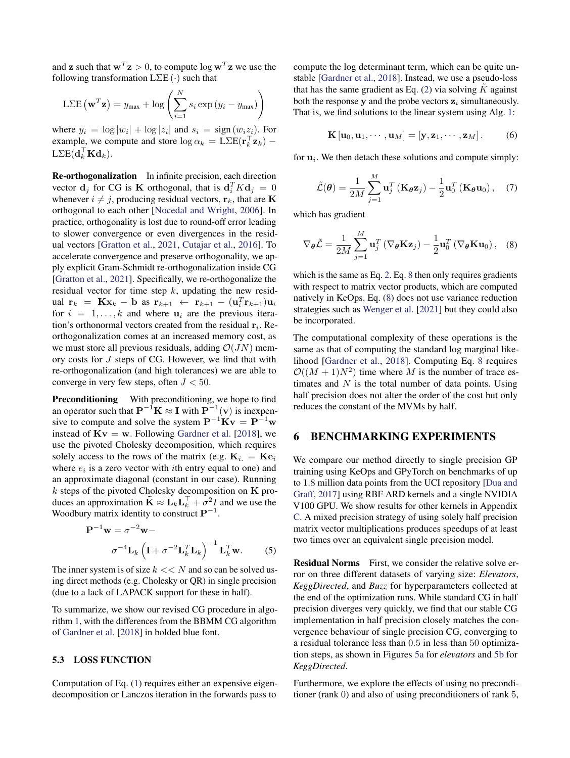and **z** such that  $w^T z > 0$ , to compute  $\log w^T z$  we use the following transformation  $L\Sigma E(\cdot)$  such that

$$
L\Sigma E(\mathbf{w}^T\mathbf{z}) = y_{\text{max}} + \log \left( \sum_{i=1}^N s_i \exp(y_i - y_{\text{max}}) \right)
$$

where  $y_i = \log |w_i| + \log |z_i|$  and  $s_i = \text{sign}(w_i z_i)$ . For example, we compute and store  $\log \alpha_k = \text{LSE}(\mathbf{r}_k^{\top} \mathbf{z}_k)$  –  $\text{L}\Sigma\text{E}(\mathbf{d}_k^{\top}\mathbf{K}\mathbf{d}_k).$ 

Re-orthogonalization In infinite precision, each direction vector  $\mathbf{d}_j$  for CG is **K** orthogonal, that is  $\mathbf{d}_i^T K \mathbf{d}_j = 0$ whenever  $i \neq j$ , producing residual vectors,  $\mathbf{r}_k$ , that are K orthogonal to each other [\[Nocedal and Wright,](#page-9-10) [2006\]](#page-9-10). In practice, orthogonality is lost due to round-off error leading to slower convergence or even divergences in the residual vectors [\[Gratton et al.,](#page-9-19) [2021,](#page-9-19) [Cutajar et al.,](#page-8-1) [2016\]](#page-8-1). To accelerate convergence and preserve orthogonality, we apply explicit Gram-Schmidt re-orthogonalization inside CG [\[Gratton et al.,](#page-9-19) [2021\]](#page-9-19). Specifically, we re-orthogonalize the residual vector for time step  $k$ , updating the new residual  $\mathbf{r}_k = \mathbf{K} \mathbf{x}_k - \mathbf{b}$  as  $\mathbf{r}_{k+1} \leftarrow \mathbf{r}_{k+1} - (\mathbf{u}_i^T \mathbf{r}_{k+1}) \mathbf{u}_i$ for  $i = 1, \ldots, k$  and where  $u_i$  are the previous iteration's orthonormal vectors created from the residual  $r_i$ . Reorthogonalization comes at an increased memory cost, as we must store all previous residuals, adding  $\mathcal{O}(JN)$  memory costs for J steps of CG. However, we find that with re-orthogonalization (and high tolerances) we are able to converge in very few steps, often  $J < 50$ .

Preconditioning With preconditioning, we hope to find an operator such that  $\mathbf{P}^{-1}\mathbf{K} \approx \mathbf{I}$  with  $\mathbf{P}^{-1}(\mathbf{v})$  is inexpensive to compute and solve the system  $P^{-1}Kv = P^{-1}w$ instead of  $Kv = w$ . Following [Gardner et al.](#page-9-5) [\[2018\]](#page-9-5), we use the pivoted Cholesky decomposition, which requires solely access to the rows of the matrix (e.g.  $K_i = Ke_i$ ) where  $e_i$  is a zero vector with *i*th entry equal to one) and an approximate diagonal (constant in our case). Running  $k$  steps of the pivoted Cholesky decomposition on  $K$  produces an approximation  $\tilde{\mathbf{K}} \approx \mathbf{L}_k \mathbf{L}_k^{\top} + \sigma^2 I$  and we use the Woodbury matrix identity to construct  $\mathbf{P}^{-1}$ .

$$
\mathbf{P}^{-1}\mathbf{w} = \sigma^{-2}\mathbf{w} - \sigma^{-4}\mathbf{L}_k \left(\mathbf{I} + \sigma^{-2}\mathbf{L}_k^T\mathbf{L}_k\right)^{-1}\mathbf{L}_k^T\mathbf{w}.
$$
 (5)

The inner system is of size  $k \ll N$  and so can be solved using direct methods (e.g. Cholesky or QR) in single precision (due to a lack of LAPACK support for these in half).

To summarize, we show our revised CG procedure in algorithm [1,](#page-5-0) with the differences from the BBMM CG algorithm of [Gardner et al.](#page-9-5) [\[2018\]](#page-9-5) in bolded blue font.

#### 5.3 LOSS FUNCTION

Computation of Eq. [\(1\)](#page-1-0) requires either an expensive eigendecomposition or Lanczos iteration in the forwards pass to

compute the log determinant term, which can be quite unstable [\[Gardner et al.,](#page-9-5) [2018\]](#page-9-5). Instead, we use a pseudo-loss that has the same gradient as Eq. [\(2\)](#page-1-1) via solving  $\tilde{K}$  against both the response y and the probe vectors  $z_i$  simultaneously. That is, we find solutions to the linear system using Alg. [1:](#page-5-0)

$$
\mathbf{K}[\mathbf{u}_0, \mathbf{u}_1, \cdots, \mathbf{u}_M] = [\mathbf{y}, \mathbf{z}_1, \cdots, \mathbf{z}_M].
$$
 (6)

for  $\mathbf{u}_i$ . We then detach these solutions and compute simply:

<span id="page-6-1"></span>
$$
\tilde{\mathcal{L}}(\boldsymbol{\theta}) = \frac{1}{2M} \sum_{j=1}^{M} \mathbf{u}_{j}^{T} (\mathbf{K}_{\boldsymbol{\theta}} \mathbf{z}_{j}) - \frac{1}{2} \mathbf{u}_{0}^{T} (\mathbf{K}_{\boldsymbol{\theta}} \mathbf{u}_{0}), \quad (7)
$$

which has gradient

$$
\nabla_{\boldsymbol{\theta}} \tilde{\mathcal{L}} = \frac{1}{2M} \sum_{j=1}^{M} \mathbf{u}_{j}^{T} \left( \nabla_{\boldsymbol{\theta}} \mathbf{K} \mathbf{z}_{j} \right) - \frac{1}{2} \mathbf{u}_{0}^{T} \left( \nabla_{\boldsymbol{\theta}} \mathbf{K} \mathbf{u}_{0} \right), \quad (8)
$$

which is the same as Eq. [2.](#page-1-1) Eq. [8](#page-6-1) then only requires gradients with respect to matrix vector products, which are computed natively in KeOps. Eq. [\(8\)](#page-6-1) does not use variance reduction strategies such as [Wenger et al.](#page-10-6) [\[2021\]](#page-10-6) but they could also be incorporated.

The computational complexity of these operations is the same as that of computing the standard log marginal likelihood [\[Gardner et al.,](#page-9-5) [2018\]](#page-9-5). Computing Eq. [8](#page-6-1) requires  $\mathcal{O}((M+1)N^2)$  time where M is the number of trace estimates and  $N$  is the total number of data points. Using half precision does not alter the order of the cost but only reduces the constant of the MVMs by half.

#### 6 BENCHMARKING EXPERIMENTS

We compare our method directly to single precision GP training using KeOps and GPyTorch on benchmarks of up to 1.8 million data points from the UCI repository [\[Dua and](#page-8-8) [Graff,](#page-8-8) [2017\]](#page-8-8) using RBF ARD kernels and a single NVIDIA V100 GPU. We show results for other kernels in Appendix [C.](#page-0-0) A mixed precision strategy of using solely half precision matrix vector multiplications produces speedups of at least two times over an equivalent single precision model.

<span id="page-6-0"></span>Residual Norms First, we consider the relative solve error on three different datasets of varying size: *Elevators*, *KeggDirected*, and *Buzz* for hyperparameters collected at the end of the optimization runs. While standard CG in half precision diverges very quickly, we find that our stable CG implementation in half precision closely matches the convergence behaviour of single precision CG, converging to a residual tolerance less than 0.5 in less than 50 optimization steps, as shown in Figures [5a](#page-7-0) for *elevators* and [5b](#page-7-0) for *KeggDirected*.

Furthermore, we explore the effects of using no preconditioner (rank 0) and also of using preconditioners of rank 5,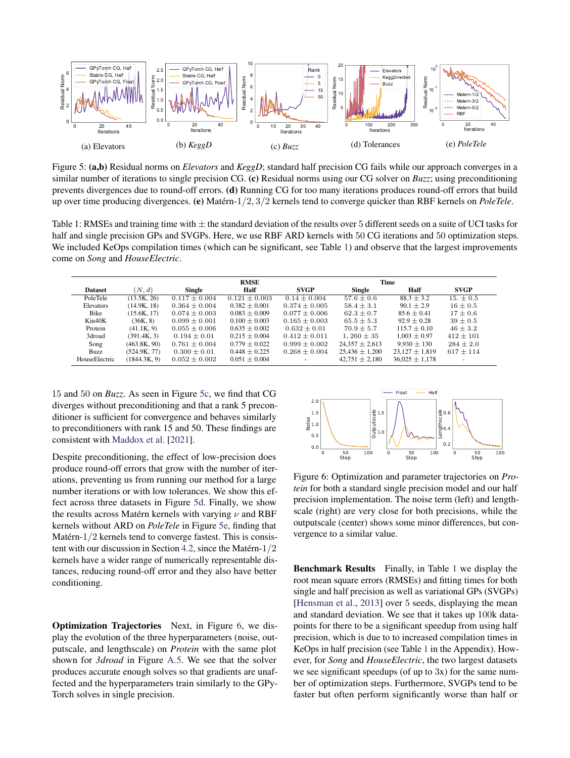<span id="page-7-0"></span>

Figure 5: (a,b) Residual norms on *Elevators* and *KeggD*; standard half precision CG fails while our approach converges in a similar number of iterations to single precision CG. (c) Residual norms using our CG solver on *Buzz*; using preconditioning prevents divergences due to round-off errors. (d) Running CG for too many iterations produces round-off errors that build up over time producing divergences. (e) Matérn-1/2, 3/2 kernels tend to converge quicker than RBF kernels on *PoleTele*.

<span id="page-7-2"></span>Table 1: RMSEs and training time with  $\pm$  the standard deviation of the results over 5 different seeds on a suite of UCI tasks for half and single precision GPs and SVGPs. Here, we use RBF ARD kernels with 50 CG iterations and 50 optimization steps. We included KeOps compilation times (which can be significant, see Table [1\)](#page-0-0) and observe that the largest improvements come on *Song* and *HouseElectric*.

|                |              | <b>RMSE</b>       |                   |                   | Time               |                    |               |
|----------------|--------------|-------------------|-------------------|-------------------|--------------------|--------------------|---------------|
| <b>Dataset</b> | (N, d)       | <b>Single</b>     | Half              | <b>SVGP</b>       | Single             | Half               | <b>SVGP</b>   |
| PoleTele       | (13.5K, 26)  | $0.117 \pm 0.004$ | $0.121 + 0.003$   | $0.14 \pm 0.004$  | $57.6 + 0.6$       | $88.3 + 3.2$       | $15. + 0.5$   |
| Elevators      | (14.9K, 18)  | $0.364 \pm 0.004$ | $0.382 + 0.001$   | $0.374 \pm 0.005$ | $58.4 \pm 3.1$     | $90.1 \pm 2.9$     | $16 \pm 0.5$  |
| <b>Bike</b>    | (15.6K, 17)  | $0.074 + 0.003$   | $0.083 + 0.009$   | $0.077 + 0.006$   | $62.3 + 0.7$       | $85.6 + 0.41$      | $17 + 0.6$    |
| Kin40K         | (36K, 8)     | $0.099 \pm 0.001$ | $0.100 + 0.003$   | $0.165 \pm 0.003$ | $65.5 \pm 5.3$     | $92.9 + 0.28$      | $39 \pm 0.5$  |
| Protein        | (41.1K, 9)   | $0.055 \pm 0.006$ | $0.635 + 0.002$   | $0.632 + 0.01$    | $70.9 + 5.7$       | $115.7 + 0.10$     | $46 \pm 3.2$  |
| 3droad         | (391.4K, 3)  | $0.194 \pm 0.01$  | $0.215 + 0.004$   | $0.412 \pm 0.011$ | $1.260 \pm 35$     | $1.003 \pm 0.97$   | $412 \pm 101$ |
| Song           | (463.8K, 90) | $0.761 \pm 0.004$ | $0.779 + 0.022$   | $0.999 + 0.002$   | $24.357 \pm 2.613$ | $9.930 \pm 130$    | $284 \pm 2.0$ |
| Buzz           | (524.9K, 77) | $0.300 \pm 0.01$  | $0.448 \pm 0.225$ | $0.268 \pm 0.004$ | $25,436 \pm 1,200$ | $23.127 \pm 1.819$ | $617 \pm 114$ |
| HouseElectric  | (1844.3K, 9) | $0.052 \pm 0.002$ | $0.051 \pm 0.004$ |                   | $42.751 \pm 2.180$ | $36.025 \pm 1.178$ |               |

15 and 50 on *Buzz*. As seen in Figure [5c,](#page-7-0) we find that CG diverges without preconditioning and that a rank 5 preconditioner is sufficient for convergence and behaves similarly to preconditioners with rank 15 and 50. These findings are consistent with [Maddox et al.](#page-9-27) [\[2021\]](#page-9-27).

Despite preconditioning, the effect of low-precision does produce round-off errors that grow with the number of iterations, preventing us from running our method for a large number iterations or with low tolerances. We show this effect across three datasets in Figure [5d.](#page-7-0) Finally, we show the results across Matérn kernels with varying  $\nu$  and RBF kernels without ARD on *PoleTele* in Figure [5e,](#page-7-0) finding that Matérn-1/2 kernels tend to converge fastest. This is consistent with our discussion in Section [4.2,](#page-3-2) since the Matérn-1/2 kernels have a wider range of numerically representable distances, reducing round-off error and they also have better conditioning.

Optimization Trajectories Next, in Figure [6,](#page-7-1) we display the evolution of the three hyperparameters (noise, outputscale, and lengthscale) on *Protein* with the same plot shown for *3droad* in Figure [A.5.](#page-0-0) We see that the solver produces accurate enough solves so that gradients are unaffected and the hyperparameters train similarly to the GPy-Torch solves in single precision.

<span id="page-7-1"></span>

Figure 6: Optimization and parameter trajectories on *Protein* for both a standard single precision model and our half precision implementation. The noise term (left) and lengthscale (right) are very close for both precisions, while the outputscale (center) shows some minor differences, but convergence to a similar value.

Benchmark Results Finally, in Table [1](#page-7-2) we display the root mean square errors (RMSEs) and fitting times for both single and half precision as well as variational GPs (SVGPs) [\[Hensman et al.,](#page-9-28) [2013\]](#page-9-28) over 5 seeds, displaying the mean and standard deviation. We see that it takes up 100k datapoints for there to be a significant speedup from using half precision, which is due to to increased compilation times in KeOps in half precision (see Table [1](#page-0-0) in the Appendix). However, for *Song* and *HouseElectric*, the two largest datasets we see significant speedups (of up to 3x) for the same number of optimization steps. Furthermore, SVGPs tend to be faster but often perform significantly worse than half or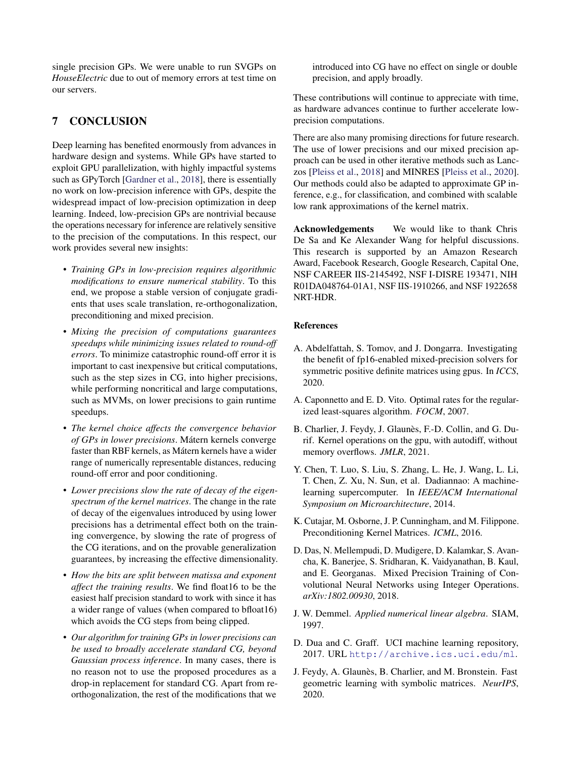single precision GPs. We were unable to run SVGPs on *HouseElectric* due to out of memory errors at test time on our servers.

# 7 CONCLUSION

Deep learning has benefited enormously from advances in hardware design and systems. While GPs have started to exploit GPU parallelization, with highly impactful systems such as GPyTorch [\[Gardner et al.,](#page-9-5) [2018\]](#page-9-5), there is essentially no work on low-precision inference with GPs, despite the widespread impact of low-precision optimization in deep learning. Indeed, low-precision GPs are nontrivial because the operations necessary for inference are relatively sensitive to the precision of the computations. In this respect, our work provides several new insights:

- *Training GPs in low-precision requires algorithmic modifications to ensure numerical stability*. To this end, we propose a stable version of conjugate gradients that uses scale translation, re-orthogonalization, preconditioning and mixed precision.
- *Mixing the precision of computations guarantees speedups while minimizing issues related to round-off errors*. To minimize catastrophic round-off error it is important to cast inexpensive but critical computations, such as the step sizes in CG, into higher precisions, while performing noncritical and large computations, such as MVMs, on lower precisions to gain runtime speedups.
- *The kernel choice affects the convergence behavior of GPs in lower precisions*. Mátern kernels converge faster than RBF kernels, as Mátern kernels have a wider range of numerically representable distances, reducing round-off error and poor conditioning.
- *Lower precisions slow the rate of decay of the eigenspectrum of the kernel matrices*. The change in the rate of decay of the eigenvalues introduced by using lower precisions has a detrimental effect both on the training convergence, by slowing the rate of progress of the CG iterations, and on the provable generalization guarantees, by increasing the effective dimensionality.
- *How the bits are split between matissa and exponent affect the training results*. We find float16 to be the easiest half precision standard to work with since it has a wider range of values (when compared to bfloat16) which avoids the CG steps from being clipped.
- *Our algorithm for training GPs in lower precisions can be used to broadly accelerate standard CG, beyond Gaussian process inference*. In many cases, there is no reason not to use the proposed procedures as a drop-in replacement for standard CG. Apart from reorthogonalization, the rest of the modifications that we

introduced into CG have no effect on single or double precision, and apply broadly.

These contributions will continue to appreciate with time, as hardware advances continue to further accelerate lowprecision computations.

There are also many promising directions for future research. The use of lower precisions and our mixed precision approach can be used in other iterative methods such as Lanczos [\[Pleiss et al.,](#page-9-29) [2018\]](#page-9-29) and MINRES [\[Pleiss et al.,](#page-9-30) [2020\]](#page-9-30). Our methods could also be adapted to approximate GP inference, e.g., for classification, and combined with scalable low rank approximations of the kernel matrix.

Acknowledgements We would like to thank Chris De Sa and Ke Alexander Wang for helpful discussions. This research is supported by an Amazon Research Award, Facebook Research, Google Research, Capital One, NSF CAREER IIS-2145492, NSF I-DISRE 193471, NIH R01DA048764-01A1, NSF IIS-1910266, and NSF 1922658 NRT-HDR.

### References

- <span id="page-8-6"></span>A. Abdelfattah, S. Tomov, and J. Dongarra. Investigating the benefit of fp16-enabled mixed-precision solvers for symmetric positive definite matrices using gpus. In *ICCS*, 2020.
- <span id="page-8-7"></span>A. Caponnetto and E. D. Vito. Optimal rates for the regularized least-squares algorithm. *FOCM*, 2007.
- <span id="page-8-2"></span>B. Charlier, J. Feydy, J. Glaunès, F.-D. Collin, and G. Durif. Kernel operations on the gpu, with autodiff, without memory overflows. *JMLR*, 2021.
- <span id="page-8-5"></span>Y. Chen, T. Luo, S. Liu, S. Zhang, L. He, J. Wang, L. Li, T. Chen, Z. Xu, N. Sun, et al. Dadiannao: A machinelearning supercomputer. In *IEEE/ACM International Symposium on Microarchitecture*, 2014.
- <span id="page-8-1"></span>K. Cutajar, M. Osborne, J. P. Cunningham, and M. Filippone. Preconditioning Kernel Matrices. *ICML*, 2016.
- <span id="page-8-0"></span>D. Das, N. Mellempudi, D. Mudigere, D. Kalamkar, S. Avancha, K. Banerjee, S. Sridharan, K. Vaidyanathan, B. Kaul, and E. Georganas. Mixed Precision Training of Convolutional Neural Networks using Integer Operations. *arXiv:1802.00930*, 2018.
- <span id="page-8-4"></span>J. W. Demmel. *Applied numerical linear algebra*. SIAM, 1997.
- <span id="page-8-8"></span>D. Dua and C. Graff. UCI machine learning repository, 2017. URL <http://archive.ics.uci.edu/ml>.
- <span id="page-8-3"></span>J. Feydy, A. Glaunès, B. Charlier, and M. Bronstein. Fast geometric learning with symbolic matrices. *NeurIPS*, 2020.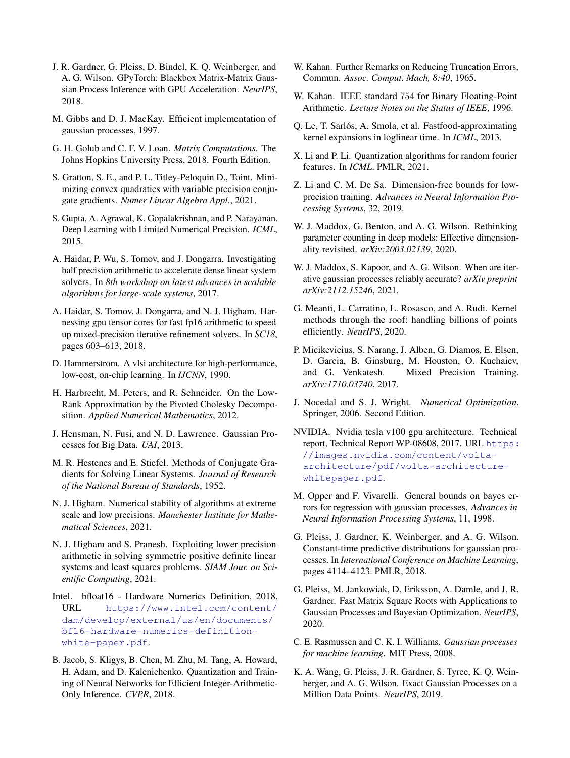- <span id="page-9-5"></span>J. R. Gardner, G. Pleiss, D. Bindel, K. Q. Weinberger, and A. G. Wilson. GPyTorch: Blackbox Matrix-Matrix Gaussian Process Inference with GPU Acceleration. *NeurIPS*, 2018.
- <span id="page-9-4"></span>M. Gibbs and D. J. MacKay. Efficient implementation of gaussian processes, 1997.
- <span id="page-9-11"></span>G. H. Golub and C. F. V. Loan. *Matrix Computations*. The Johns Hopkins University Press, 2018. Fourth Edition.
- <span id="page-9-19"></span>S. Gratton, S. E., and P. L. Titley-Peloquin D., Toint. Minimizing convex quadratics with variable precision conjugate gradients. *Numer Linear Algebra Appl.*, 2021.
- <span id="page-9-14"></span>S. Gupta, A. Agrawal, K. Gopalakrishnan, and P. Narayanan. Deep Learning with Limited Numerical Precision. *ICML*, 2015.
- <span id="page-9-20"></span>A. Haidar, P. Wu, S. Tomov, and J. Dongarra. Investigating half precision arithmetic to accelerate dense linear system solvers. In *8th workshop on latest advances in scalable algorithms for large-scale systems*, 2017.
- <span id="page-9-21"></span>A. Haidar, S. Tomov, J. Dongarra, and N. J. Higham. Harnessing gpu tensor cores for fast fp16 arithmetic to speed up mixed-precision iterative refinement solvers. In *SC18*, pages 603–613, 2018.
- <span id="page-9-13"></span>D. Hammerstrom. A vlsi architecture for high-performance, low-cost, on-chip learning. In *IJCNN*, 1990.
- <span id="page-9-18"></span>H. Harbrecht, M. Peters, and R. Schneider. On the Low-Rank Approximation by the Pivoted Cholesky Decomposition. *Applied Numerical Mathematics*, 2012.
- <span id="page-9-28"></span>J. Hensman, N. Fusi, and N. D. Lawrence. Gaussian Processes for Big Data. *UAI*, 2013.
- <span id="page-9-9"></span>M. R. Hestenes and E. Stiefel. Methods of Conjugate Gradients for Solving Linear Systems. *Journal of Research of the National Bureau of Standards*, 1952.
- <span id="page-9-22"></span>N. J. Higham. Numerical stability of algorithms at extreme scale and low precisions. *Manchester Institute for Mathematical Sciences*, 2021.
- <span id="page-9-3"></span>N. J. Higham and S. Pranesh. Exploiting lower precision arithmetic in solving symmetric positive definite linear systems and least squares problems. *SIAM Jour. on Scientific Computing*, 2021.
- <span id="page-9-0"></span>Intel. bfloat16 - Hardware Numerics Definition, 2018. URL [https://www.intel.com/content/](https://www.intel.com/content/dam/develop/external/us/en/documents/bf16-hardware-numerics-definition-white-paper.pdf) [dam/develop/external/us/en/documents/](https://www.intel.com/content/dam/develop/external/us/en/documents/bf16-hardware-numerics-definition-white-paper.pdf) [bf16-hardware-numerics-definition](https://www.intel.com/content/dam/develop/external/us/en/documents/bf16-hardware-numerics-definition-white-paper.pdf)[white-paper.pdf](https://www.intel.com/content/dam/develop/external/us/en/documents/bf16-hardware-numerics-definition-white-paper.pdf).
- <span id="page-9-15"></span>B. Jacob, S. Kligys, B. Chen, M. Zhu, M. Tang, A. Howard, H. Adam, and D. Kalenichenko. Quantization and Training of Neural Networks for Efficient Integer-Arithmetic-Only Inference. *CVPR*, 2018.
- <span id="page-9-26"></span>W. Kahan. Further Remarks on Reducing Truncation Errors, Commun. *Assoc. Comput. Mach, 8:40*, 1965.
- <span id="page-9-7"></span>W. Kahan. IEEE standard 754 for Binary Floating-Point Arithmetic. *Lecture Notes on the Status of IEEE*, 1996.
- <span id="page-9-17"></span>Q. Le, T. Sarlós, A. Smola, et al. Fastfood-approximating kernel expansions in loglinear time. In *ICML*, 2013.
- <span id="page-9-16"></span>X. Li and P. Li. Quantization algorithms for random fourier features. In *ICML*. PMLR, 2021.
- <span id="page-9-24"></span>Z. Li and C. M. De Sa. Dimension-free bounds for lowprecision training. *Advances in Neural Information Processing Systems*, 32, 2019.
- <span id="page-9-25"></span>W. J. Maddox, G. Benton, and A. G. Wilson. Rethinking parameter counting in deep models: Effective dimensionality revisited. *arXiv:2003.02139*, 2020.
- <span id="page-9-27"></span>W. J. Maddox, S. Kapoor, and A. G. Wilson. When are iterative gaussian processes reliably accurate? *arXiv preprint arXiv:2112.15246*, 2021.
- <span id="page-9-12"></span>G. Meanti, L. Carratino, L. Rosasco, and A. Rudi. Kernel methods through the roof: handling billions of points efficiently. *NeurIPS*, 2020.
- <span id="page-9-1"></span>P. Micikevicius, S. Narang, J. Alben, G. Diamos, E. Elsen, D. Garcia, B. Ginsburg, M. Houston, O. Kuchaiev, and G. Venkatesh. Mixed Precision Training. *arXiv:1710.03740*, 2017.
- <span id="page-9-10"></span>J. Nocedal and S. J. Wright. *Numerical Optimization*. Springer, 2006. Second Edition.
- <span id="page-9-2"></span>NVIDIA. Nvidia tesla v100 gpu architecture. Technical report, Technical Report WP-08608, 2017. URL [https:](https://images.nvidia.com/content/volta-architecture/pdf/volta-architecture-whitepaper.pdf) [//images.nvidia.com/content/volta](https://images.nvidia.com/content/volta-architecture/pdf/volta-architecture-whitepaper.pdf)[architecture/pdf/volta-architecture](https://images.nvidia.com/content/volta-architecture/pdf/volta-architecture-whitepaper.pdf)[whitepaper.pdf](https://images.nvidia.com/content/volta-architecture/pdf/volta-architecture-whitepaper.pdf).
- <span id="page-9-23"></span>M. Opper and F. Vivarelli. General bounds on bayes errors for regression with gaussian processes. *Advances in Neural Information Processing Systems*, 11, 1998.
- <span id="page-9-29"></span>G. Pleiss, J. Gardner, K. Weinberger, and A. G. Wilson. Constant-time predictive distributions for gaussian processes. In *International Conference on Machine Learning*, pages 4114–4123. PMLR, 2018.
- <span id="page-9-30"></span>G. Pleiss, M. Jankowiak, D. Eriksson, A. Damle, and J. R. Gardner. Fast Matrix Square Roots with Applications to Gaussian Processes and Bayesian Optimization. *NeurIPS*, 2020.
- <span id="page-9-8"></span>C. E. Rasmussen and C. K. I. Williams. *Gaussian processes for machine learning*. MIT Press, 2008.
- <span id="page-9-6"></span>K. A. Wang, G. Pleiss, J. R. Gardner, S. Tyree, K. Q. Weinberger, and A. G. Wilson. Exact Gaussian Processes on a Million Data Points. *NeurIPS*, 2019.